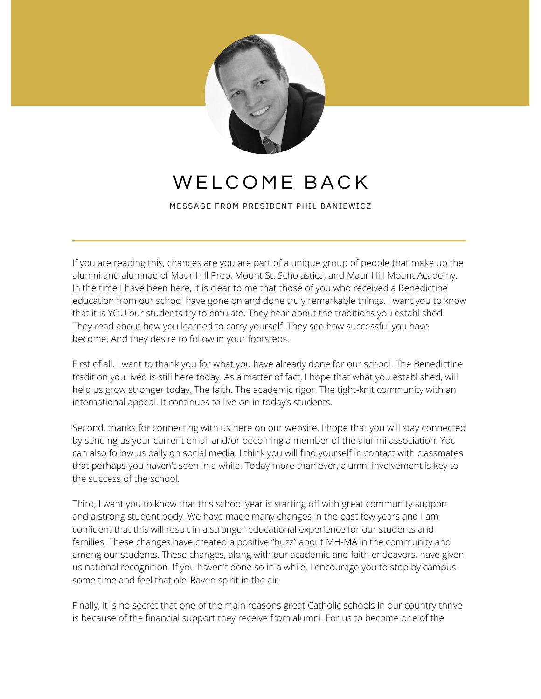

## WELCOME BACK

MESSAGE FROM PRESIDENT PHIL BANIEWICZ

If you are reading this, chances are you are part of a unique group of people that make up the alumni and alumnae of Maur Hill Prep, Mount St. Scholastica, and Maur Hill-Mount Academy. In the time I have been here, it is clear to me that those of you who received a Benedictine education from our school have gone on and done truly remarkable things. I want you to know that it is YOU our students try to emulate. They hear about the traditions you established. They read about how you learned to carry yourself. They see how successful you have become. And they desire to follow in your footsteps.

First of all, I want to thank you for what you have already done for our school. The Benedictine tradition you lived is still here today. As a matter of fact, I hope that what you established, will help us grow stronger today. The faith. The academic rigor. The tight-knit community with an international appeal. It continues to live on in today's students.

Second, thanks for connecting with us here on our website. I hope that you will stay connected by sending us your current email and/or becoming a member of the alumni association. You can also follow us daily on social media. I think you will find yourself in contact with classmates that perhaps you haven't seen in a while. Today more than ever, alumni involvement is key to the success of the school.

Third, I want you to know that this school year is starting off with great community support and a strong student body. We have made many changes in the past few years and I am confident that this will result in a stronger educational experience for our students and families. These changes have created a positive "buzz" about MH-MA in the community and among our students. These changes, along with our academic and faith endeavors, have given us national recognition. If you haven't done so in a while, I encourage you to stop by campus some time and feel that ole' Raven spirit in the air.

Finally, it is no secret that one of the main reasons great Catholic schools in our country thrive is because of the financial support they receive from alumni. For us to become one of the